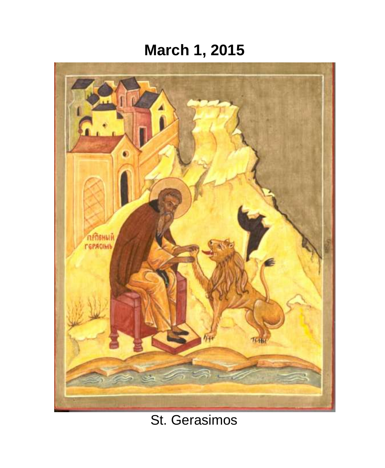# **March 1, 2015**



# St. Gerasimos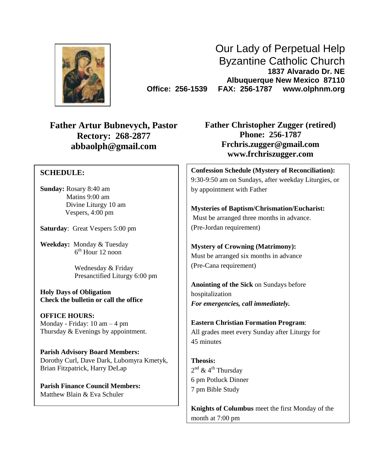

Our Lady of Perpetual Help Byzantine Catholic Church **1837 Alvarado Dr. NE Albuquerque New Mexico 87110 Office: 256-1539 FAX: 256-1787 www.olphnm.org**

**Father Artur Bubnevych, Pastor Rectory: 268-2877 abbaolph@gmail.com**

## **SCHEDULE:**

**Sunday:** Rosary 8:40 am Matins 9:00 am Divine Liturgy 10 am Vespers, 4:00 pm

**Saturday**: Great Vespers 5:00 pm

**Weekday:** Monday & Tuesday 6 th Hour 12 noon

> Wednesday & Friday Presanctified Liturgy 6:00 pm

**Holy Days of Obligation Check the bulletin or call the office**

**OFFICE HOURS:** Monday - Friday: 10 am – 4 pm Thursday & Evenings by appointment.

**Parish Advisory Board Members:** Dorothy Curl, Dave Dark, Lubomyra Kmetyk, Brian Fitzpatrick, Harry DeLap

**Parish Finance Council Members:** Matthew Blain & Eva Schuler

**Father Christopher Zugger (retired) Phone: 256-1787 [Frchris.zugger@gmail.com](mailto:Frchris.zugger@gmail.com) www.frchriszugger.com**

**Confession Schedule (Mystery of Reconciliation):** 9:30-9:50 am on Sundays, after weekday Liturgies, or by appointment with Father

**Mysteries of Baptism/Chrismation/Eucharist:** Must be arranged three months in advance. (Pre-Jordan requirement)

**Mystery of Crowning (Matrimony):** Must be arranged six months in advance (Pre-Cana requirement)

**Anointing of the Sick** on Sundays before hospitalization *For emergencies, call immediately.*

**Eastern Christian Formation Program**: All grades meet every Sunday after Liturgy for 45 minutes

**Theosis:** 2<sup>nd</sup> & 4<sup>th</sup> Thursday 6 pm Potluck Dinner 7 pm Bible Study

**Knights of Columbus** meet the first Monday of the month at 7:00 pm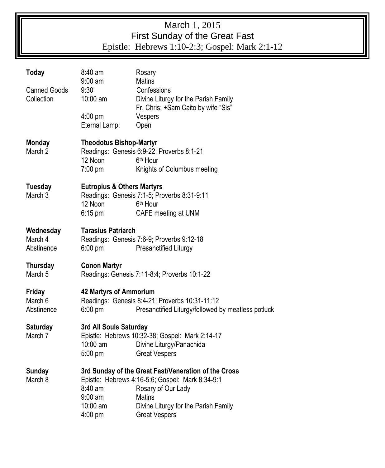## March 1, 2015 First Sunday of the Great Fast Epistle: Hebrews 1:10-2:3; Gospel: Mark 2:1-12

| Today                              | 8:40 am<br>$9:00$ am                                                                                                                                       | Rosary<br><b>Matins</b>                                                                                                                                                                                  |  |  |  |
|------------------------------------|------------------------------------------------------------------------------------------------------------------------------------------------------------|----------------------------------------------------------------------------------------------------------------------------------------------------------------------------------------------------------|--|--|--|
| <b>Canned Goods</b><br>Collection  | 9:30<br>10:00 am                                                                                                                                           | Confessions<br>Divine Liturgy for the Parish Family<br>Fr. Chris: +Sam Caito by wife "Sis"                                                                                                               |  |  |  |
|                                    | $4:00$ pm<br>Eternal Lamp:                                                                                                                                 | Vespers<br>Open                                                                                                                                                                                          |  |  |  |
| <b>Monday</b><br>March 2           | <b>Theodotus Bishop-Martyr</b><br>12 Noon<br>$7:00 \text{ pm}$                                                                                             | Readings: Genesis 6:9-22; Proverbs 8:1-21<br>6 <sup>th</sup> Hour<br>Knights of Columbus meeting                                                                                                         |  |  |  |
| <b>Tuesday</b><br>March 3          | <b>Eutropius &amp; Others Martyrs</b><br>12 Noon<br>$6:15 \text{ pm}$                                                                                      | Readings: Genesis 7:1-5; Proverbs 8:31-9:11<br>6 <sup>th</sup> Hour<br>CAFE meeting at UNM                                                                                                               |  |  |  |
| Wednesday<br>March 4<br>Abstinence | <b>Tarasius Patriarch</b><br>Readings: Genesis 7:6-9; Proverbs 9:12-18<br>$6:00 \text{ pm}$<br>Presanctified Liturgy                                       |                                                                                                                                                                                                          |  |  |  |
| Thursday<br>March 5                | <b>Conon Martyr</b><br>Readings: Genesis 7:11-8:4; Proverbs 10:1-22                                                                                        |                                                                                                                                                                                                          |  |  |  |
| Friday<br>March 6<br>Abstinence    | <b>42 Martyrs of Ammorium</b><br>Readings: Genesis 8:4-21; Proverbs 10:31-11:12<br>Presanctified Liturgy/followed by meatless potluck<br>$6:00 \text{ pm}$ |                                                                                                                                                                                                          |  |  |  |
| <b>Saturday</b><br>March 7         | 3rd All Souls Saturday<br>10:00 am<br>$5:00 \text{ pm}$                                                                                                    | Epistle: Hebrews 10:32-38; Gospel: Mark 2:14-17<br>Divine Liturgy/Panachida<br><b>Great Vespers</b>                                                                                                      |  |  |  |
| <b>Sunday</b><br>March 8           | 8:40 am<br>$9:00 \text{ am}$<br>10:00 am<br>$4:00$ pm                                                                                                      | 3rd Sunday of the Great Fast/Veneration of the Cross<br>Epistle: Hebrews 4:16-5:6; Gospel: Mark 8:34-9:1<br>Rosary of Our Lady<br>Matins<br>Divine Liturgy for the Parish Family<br><b>Great Vespers</b> |  |  |  |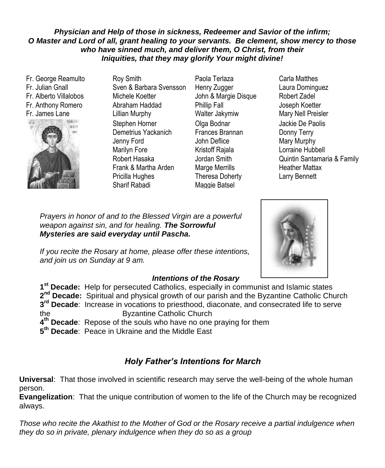## *Physician and Help of those in sickness, Redeemer and Savior of the infirm; O Master and Lord of all, grant healing to your servants. Be clement, show mercy to those who have sinned much, and deliver them, O Christ, from their Iniquities, that they may glorify Your might divine!*

Fr. George Reamulto Fr. Julian Gnall Fr. Alberto Villalobos Fr. Anthony Romero Fr. James Lane



- Roy Smith Sven & Barbara Svensson Michele Koetter Abraham Haddad Lillian Murphy Stephen Horner Demetrius Yackanich Jenny Ford Marilyn Fore Robert Hasaka Frank & Martha Arden Pricilla Hughes Sharif Rabadi
- Paola Terlaza Henry Zugger John & Margie Disque Phillip Fall Walter Jakymiw Olga Bodnar Frances Brannan John Deflice Kristoff Rajala Jordan Smith Marge Merrills Theresa Doherty Maggie Batsel
- Carla Matthes Laura Dominguez Robert Zadel Joseph Koetter Mary Nell Preisler Jackie De Paolis Donny Terry Mary Murphy Lorraine Hubbell Quintin Santamaria & Family Heather Mattax Larry Bennett

Katrina Anderson-Jackie De Paolis IU IU IIIE DIESSEU V mu ivi neamig *Mysteries are said everyday until Pascha.* Prayers in honor of and to the Blessed Virgin are a powerful **Prayers** in honor of and to the Blessed Virgin are a powerful weapon against sin, and for healing. **The Sorrowful**<br>Mustarias are asid awarrelay writ**l Pasaka** 

Marilyn Fore-Family If you recite the Rosary at home, please offer these intentions,  $\overline{\phantom{a}}$ and join us on Sunday at 9 am.

## **St. Assumes Matter Matter Intentions of the Rosary**

Al Adamsko 1<sup>st</sup> Decade: Help for persecuted Catholics, especially in communist and Islamic states 2<sup>nd</sup> Decade: Spiritual and physical growth of our parish and the Byzantine Catholic Church **3 rd Decade**: Increase in vocations to priesthood, diaconate, and consecrated life to serve the Byzantine Catholic Church **4 th Decade**: Repose of the souls who have no one praying for them

**5 th Decade**: Peace in Ukraine and the Middle East

## *Holy Father's Intentions for March*

**Universal**: That those involved in scientific research may serve the well-being of the whole human person.

**Evangelization**: That the unique contribution of women to the life of the Church may be recognized always.

*Those who recite the Akathist to the Mother of God or the Rosary receive a partial indulgence when they do so in private, plenary indulgence when they do so as a group*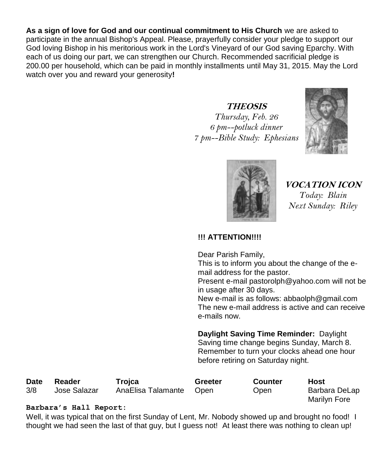**As a sign of love for God and our continual commitment to His Church** we are asked to participate in the annual Bishop's Appeal. Please, prayerfully consider your pledge to support our God loving Bishop in his meritorious work in the Lord's Vineyard of our God saving Eparchy. With each of us doing our part, we can strengthen our Church. Recommended sacrificial pledge is 200.00 per household, which can be paid in monthly installments until May 31, 2015. May the Lord watch over you and reward your generosity**!** 

## **THEOSIS**

*Thursday, Feb. 26 6 pm--potluck dinner 7 pm--Bible Study: Ephesians*





**VOCATION ICON** *Today: Blain Next Sunday: Riley*

## **!!! ATTENTION!!!!**

Dear Parish Family,

This is to inform you about the change of the email address for the pastor.

Present e-mail [pastorolph@yahoo.com](mailto:pastorolph@yahoo.com) will not be in usage after 30 days.

New e-mail is as follows: [abbaolph@gmail.com](mailto:abbaolph@gmail.com) The new e-mail address is active and can receive e-mails now.

**Daylight Saving Time Reminder:** Daylight Saving time change begins Sunday, March 8. Remember to turn your clocks ahead one hour before retiring on Saturday night.

| <b>Date</b> | Reader       | Troica                  | Greeter | Counter     | Host          |
|-------------|--------------|-------------------------|---------|-------------|---------------|
| 3/8         | Jose Salazar | AnaElisa Talamante Open |         | <b>Open</b> | Barbara DeLap |
|             |              |                         |         |             | Marilyn Fore  |

## **Barbara's Hall Report:**

Well, it was typical that on the first Sunday of Lent, Mr. Nobody showed up and brought no food! I thought we had seen the last of that guy, but I guess not! At least there was nothing to clean up!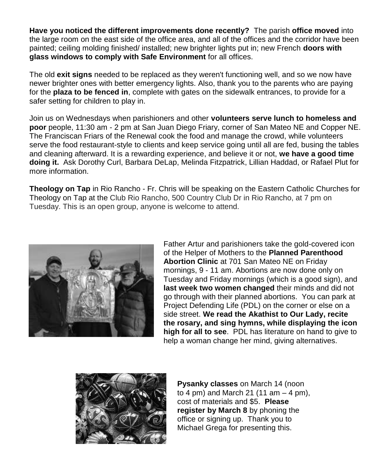**Have you noticed the different improvements done recently?** The parish **office moved** into the large room on the east side of the office area, and all of the offices and the corridor have been painted; ceiling molding finished/ installed; new brighter lights put in; new French **doors with glass windows to comply with Safe Environment** for all offices.

The old **exit signs** needed to be replaced as they weren't functioning well, and so we now have newer brighter ones with better emergency lights. Also, thank you to the parents who are paying for the **plaza to be fenced in**, complete with gates on the sidewalk entrances, to provide for a safer setting for children to play in.

Join us on Wednesdays when parishioners and other **volunteers serve lunch to homeless and poor** people, 11:30 am - 2 pm at San Juan Diego Friary, corner of San Mateo NE and Copper NE. The Franciscan Friars of the Renewal cook the food and manage the crowd, while volunteers serve the food restaurant-style to clients and keep service going until all are fed, busing the tables and cleaning afterward. It is a rewarding experience, and believe it or not, **we have a good time doing it.** Ask Dorothy Curl, Barbara DeLap, Melinda Fitzpatrick, Lillian Haddad, or Rafael Plut for more information.

**Theology on Tap** in Rio Rancho - Fr. Chris will be speaking on the Eastern Catholic Churches for Theology on Tap at the Club Rio Rancho, 500 Country Club Dr in Rio Rancho, at 7 pm on Tuesday. This is an open group, anyone is welcome to attend.



Father Artur and parishioners take the gold-covered icon of the Helper of Mothers to the **Planned Parenthood Abortion Clinic** at 701 San Mateo NE on Friday mornings, 9 - 11 am. Abortions are now done only on Tuesday and Friday mornings (which is a good sign), and **last week two women changed** their minds and did not go through with their planned abortions. You can park at Project Defending Life (PDL) on the corner or else on a side street. **We read the Akathist to Our Lady, recite the rosary, and sing hymns, while displaying the icon high for all to see**. PDL has literature on hand to give to help a woman change her mind, giving alternatives.



**Pysanky classes** on March 14 (noon to 4 pm) and March 21 (11 am  $-$  4 pm), cost of materials and \$5. **Please register by March 8** by phoning the office or signing up. Thank you to Michael Grega for presenting this.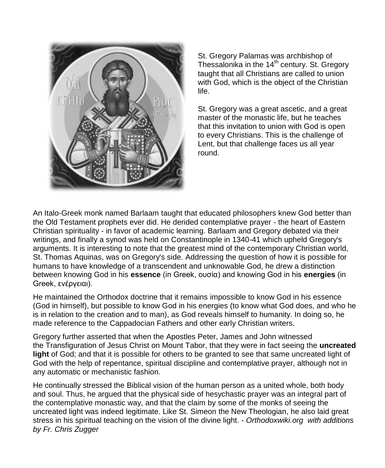

St. Gregory Palamas was archbishop of Thessalonika in the 14<sup>th</sup> century. St. Gregory taught that all Christians are called to union with God, which is the object of the Christian life.

St. Gregory was a great ascetic, and a great master of the monastic life, but he teaches that this invitation to union with God is open to every Christians. This is the challenge of Lent, but that challenge faces us all year round.

An Italo-Greek monk named Barlaam taught that educated philosophers knew God better than the Old Testament prophets ever did. He derided contemplative prayer - the heart of Eastern Christian spirituality - in favor of academic learning. Barlaam and Gregory debated via their writings, and finally a synod was held on Constantinople in 1340-41 which upheld Gregory's arguments. It is interesting to note that the greatest mind of the contemporary Christian world, St. Thomas Aquinas, was on Gregory's side. Addressing the question of how it is possible for humans to have knowledge of a transcendent and unknowable God, he drew a distinction between knowing God in his **essence** (in Greek, ουσία) and knowing God in his **energies** (in Greek, ενέργειαι).

He maintained the Orthodox doctrine that it remains impossible to know God in his essence (God in himself), but possible to know God in his energies (to know what God does, and who he is in relation to the creation and to man), as God reveals himself to humanity. In doing so, he made reference to the [Cappadocian Fathers](http://orthodoxwiki.org/Cappadocian_Fathers) and other early Christian writers.

Gregory further asserted that when the [Apostles](http://orthodoxwiki.org/Apostles) [Peter,](http://orthodoxwiki.org/Apostle_Peter) [James](http://orthodoxwiki.org/Apostle_James_(son_of_Zebedee)) and [John](http://orthodoxwiki.org/Apostle_John) witnessed the [Transfiguration](http://orthodoxwiki.org/Transfiguration) of [Jesus Christ](http://orthodoxwiki.org/Jesus_Christ) on Mount Tabor, that they were in fact seeing the **[uncreated](http://orthodoxwiki.org/index.php?title=Uncreated_light&action=edit&redlink=1)  [light](http://orthodoxwiki.org/index.php?title=Uncreated_light&action=edit&redlink=1)** of God; and that it is possible for others to be granted to see that same uncreated light of God with the help of [repentance,](http://orthodoxwiki.org/Repentance) spiritual discipline and contemplative prayer, although not in any automatic or mechanistic fashion.

He continually stressed the [Biblical](http://orthodoxwiki.org/Holy_Scriptures) vision of the human person as a united whole, both body and soul. Thus, he argued that the physical side of hesychastic prayer was an integral part of the contemplative monastic way, and that the claim by some of the monks of seeing the uncreated light was indeed legitimate. Like St. [Simeon the New Theologian,](http://orthodoxwiki.org/Simeon_the_New_Theologian) he also laid great stress in his spiritual teaching on the vision of the divine light. - *Orthodoxwiki.org with additions by Fr. Chris Zugger*